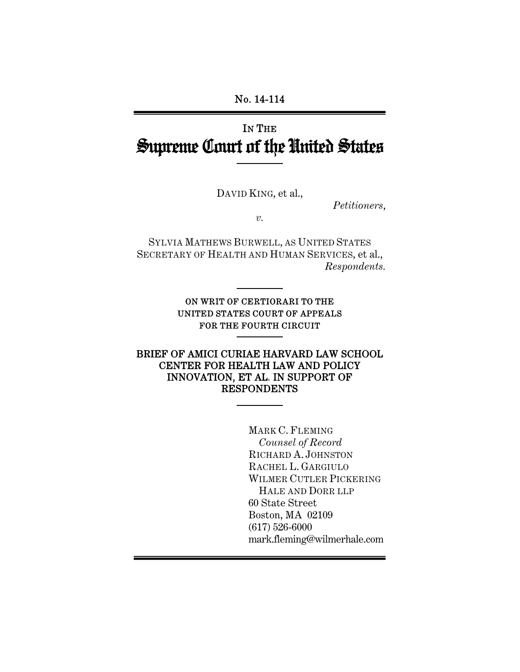# IN THE Supreme Court of the United States

DAVID KING, et al.,

*Petitioners*,

*v.* 

SYLVIA MATHEWS BURWELL, AS UNITED STATES SECRETARY OF HEALTH AND HUMAN SERVICES, et al., *Respondents.* 

> ON WRIT OF CERTIORARI TO THE UNITED STATES COURT OF APPEALS FOR THE FOURTH CIRCUIT

BRIEF OF AMICI CURIAE HARVARD LAW SCHOOL CENTER FOR HEALTH LAW AND POLICY INNOVATION, ET AL. IN SUPPORT OF RESPONDENTS

> MARK C. FLEMING *Counsel of Record* RICHARD A. JOHNSTON RACHEL L. GARGIULO WILMER CUTLER PICKERING HALE AND DORR LLP 60 State Street Boston, MA 02109 (617) 526-6000 mark.fleming@wilmerhale.com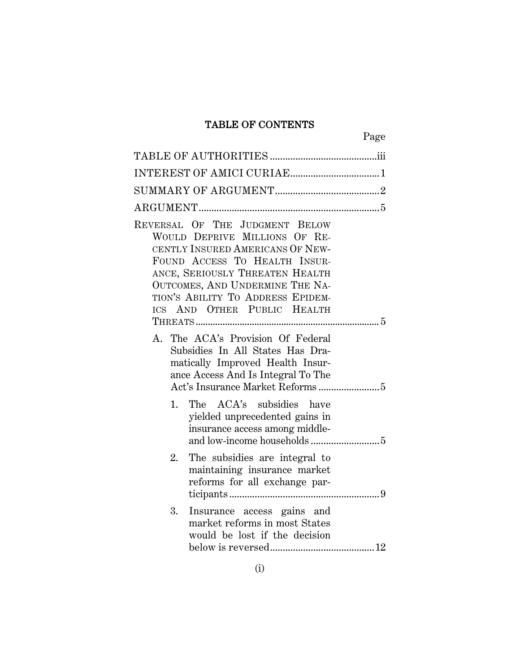# TABLE OF CONTENTS

| Page                                                                                                                                                                                                                                                                                                                                                                                                                              |  |
|-----------------------------------------------------------------------------------------------------------------------------------------------------------------------------------------------------------------------------------------------------------------------------------------------------------------------------------------------------------------------------------------------------------------------------------|--|
|                                                                                                                                                                                                                                                                                                                                                                                                                                   |  |
|                                                                                                                                                                                                                                                                                                                                                                                                                                   |  |
|                                                                                                                                                                                                                                                                                                                                                                                                                                   |  |
|                                                                                                                                                                                                                                                                                                                                                                                                                                   |  |
| REVERSAL OF THE JUDGMENT BELOW<br>WOULD DEPRIVE MILLIONS OF RE-<br>CENTLY INSURED AMERICANS OF NEW-<br>FOUND ACCESS TO HEALTH INSUR-<br>ANCE, SERIOUSLY THREATEN HEALTH<br>OUTCOMES, AND UNDERMINE THE NA-<br>TION'S ABILITY TO ADDRESS EPIDEM-<br>ICS AND OTHER PUBLIC HEALTH<br>A. The ACA's Provision Of Federal<br>Subsidies In All States Has Dra-<br>matically Improved Health Insur-<br>ance Access And Is Integral To The |  |
| The ACA's subsidies have<br>1.<br>yielded unprecedented gains in<br>insurance access among middle-                                                                                                                                                                                                                                                                                                                                |  |
| The subsidies are integral to<br>2.<br>maintaining insurance market<br>reforms for all exchange par-                                                                                                                                                                                                                                                                                                                              |  |
| 3.<br>Insurance access gains and<br>market reforms in most States<br>would be lost if the decision                                                                                                                                                                                                                                                                                                                                |  |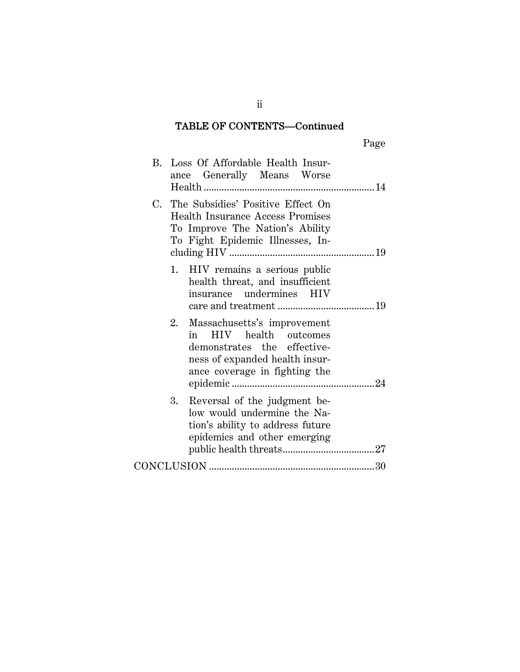# TABLE OF CONTENTS—Continued

|    | B. Loss Of Affordable Health Insur-<br>ance Generally Means Worse                                                                                       |
|----|---------------------------------------------------------------------------------------------------------------------------------------------------------|
|    | C. The Subsidies' Positive Effect On<br><b>Health Insurance Access Promises</b><br>To Improve The Nation's Ability<br>To Fight Epidemic Illnesses, In-  |
| 1. | HIV remains a serious public<br>health threat, and insufficient<br>insurance undermines HIV                                                             |
| 2. | Massachusetts's improvement<br>in HIV health outcomes<br>demonstrates the effective-<br>ness of expanded health insur-<br>ance coverage in fighting the |
| 3. | Reversal of the judgment be-<br>low would undermine the Na-<br>tion's ability to address future<br>epidemics and other emerging                         |
|    |                                                                                                                                                         |

ii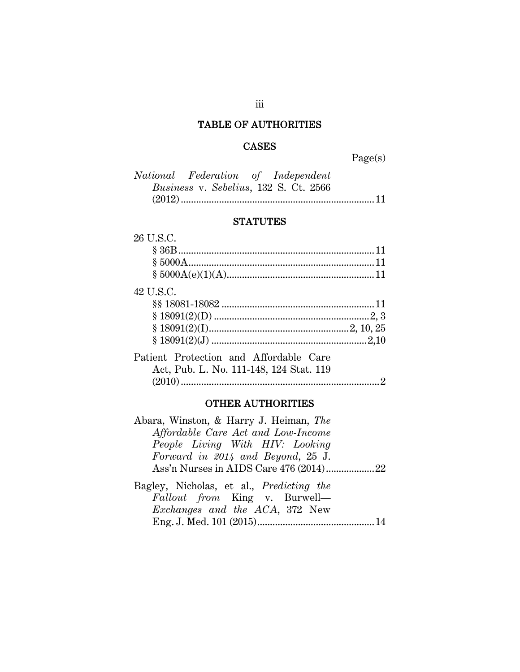# TABLE OF AUTHORITIES

### CASES

Page(s)

| National Federation of Independent |                                              |  |
|------------------------------------|----------------------------------------------|--|
|                                    | <i>Business v. Sebelius, 132 S. Ct. 2566</i> |  |
|                                    |                                              |  |

# **STATUTES**

| 26 U.S.C.                               |  |
|-----------------------------------------|--|
|                                         |  |
|                                         |  |
|                                         |  |
| 42 U.S.C.                               |  |
|                                         |  |
|                                         |  |
|                                         |  |
|                                         |  |
| Patient Protection and Affordable Care  |  |
| Act, Pub. L. No. 111-148, 124 Stat. 119 |  |
|                                         |  |
|                                         |  |

# OTHER AUTHORITIES

| Abara, Winston, & Harry J. Heiman, The          |  |
|-------------------------------------------------|--|
| Affordable Care Act and Low-Income              |  |
| People Living With HIV: Looking                 |  |
| Forward in 2014 and Beyond, 25 J.               |  |
|                                                 |  |
| Bagley, Nicholas, et al., <i>Predicting the</i> |  |
| Fallout from King v. Burwell—                   |  |
| <i>Exchanges and the ACA</i> , 372 New          |  |
|                                                 |  |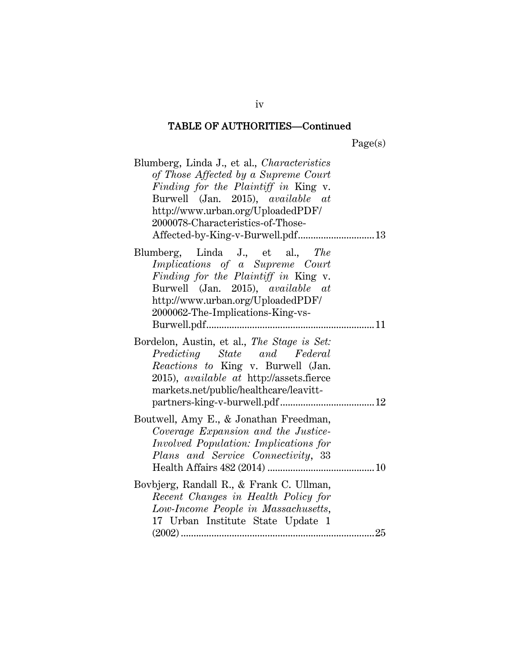Page(s)

| Blumberg, Linda J., et al., Characteristics<br>of Those Affected by a Supreme Court<br>Finding for the Plaintiff in King v.<br>Burwell (Jan. 2015), available at<br>http://www.urban.org/UploadedPDF/<br>2000078-Characteristics-of-Those-<br>Affected-by-King-v-Burwell.pdf 13 |
|---------------------------------------------------------------------------------------------------------------------------------------------------------------------------------------------------------------------------------------------------------------------------------|
| Blumberg, Linda J., et al., The<br>Implications of a Supreme Court<br>Finding for the Plaintiff in King v.<br>Burwell (Jan. 2015), available at<br>http://www.urban.org/UploadedPDF/<br>2000062-The-Implications-King-vs-                                                       |
| Bordelon, Austin, et al., The Stage is Set:<br>Predicting State and Federal<br>Reactions to King v. Burwell (Jan.<br>2015), available at http://assets.fierce<br>markets.net/public/healthcare/leavitt-                                                                         |
| Boutwell, Amy E., & Jonathan Freedman,<br>Coverage Expansion and the Justice-<br><i>Involved Population: Implications for</i><br>Plans and Service Connectivity, 33                                                                                                             |
| Bovbjerg, Randall R., & Frank C. Ullman,<br>Recent Changes in Health Policy for<br>Low-Income People in Massachusetts,<br>17 Urban Institute State Update 1                                                                                                                     |

iv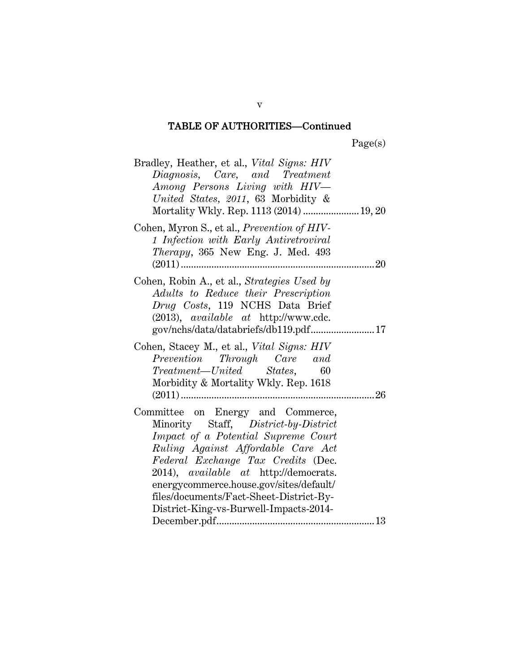| Bradley, Heather, et al., <i>Vital Signs: HIV</i><br>Diagnosis, Care, and Treatment<br>Among Persons Living with HIV-<br>United States, 2011, 63 Morbidity &<br>Mortality Wkly. Rep. 1113 (2014)  19, 20                                                                                                                                                              |
|-----------------------------------------------------------------------------------------------------------------------------------------------------------------------------------------------------------------------------------------------------------------------------------------------------------------------------------------------------------------------|
| Cohen, Myron S., et al., Prevention of HIV-<br>1 Infection with Early Antiretroviral<br><i>Therapy</i> , 365 New Eng. J. Med. 493                                                                                                                                                                                                                                     |
| Cohen, Robin A., et al., Strategies Used by<br>Adults to Reduce their Prescription<br>Drug Costs, 119 NCHS Data Brief<br>$(2013)$ , <i>available at http://www.cdc.</i>                                                                                                                                                                                               |
| Cohen, Stacey M., et al., Vital Signs: HIV<br>Prevention Through Care and<br>Treatment—United States, 60<br>Morbidity & Mortality Wkly. Rep. 1618                                                                                                                                                                                                                     |
| Committee on Energy and Commerce,<br>Minority Staff, District-by-District<br>Impact of a Potential Supreme Court<br>Ruling Against Affordable Care Act<br>Federal Exchange Tax Credits (Dec.<br>2014), available at http://democrats.<br>energycommerce.house.gov/sites/default/<br>files/documents/Fact-Sheet-District-By-<br>District-King-vs-Burwell-Impacts-2014- |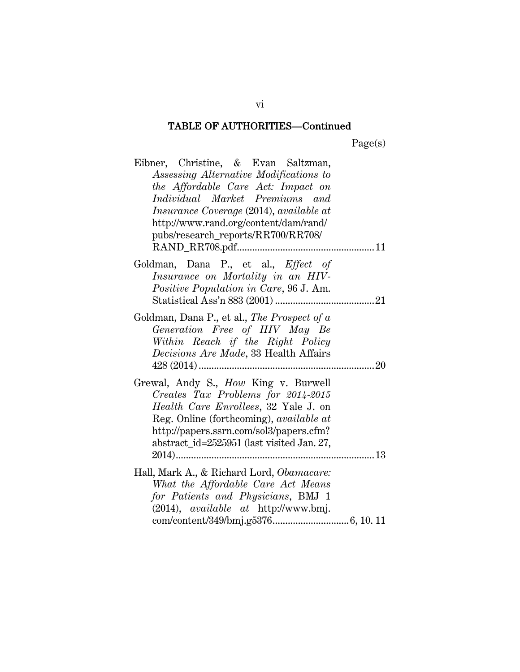Page(s)

| Eibner, Christine, & Evan Saltzman,<br>Assessing Alternative Modifications to<br>the Affordable Care Act: Impact on<br>Individual Market Premiums and<br><i>Insurance Coverage</i> (2014), <i>available at</i><br>http://www.rand.org/content/dam/rand/<br>pubs/research_reports/RR700/RR708/ |
|-----------------------------------------------------------------------------------------------------------------------------------------------------------------------------------------------------------------------------------------------------------------------------------------------|
|                                                                                                                                                                                                                                                                                               |
| Goldman, Dana P., et al., Effect of<br>Insurance on Mortality in an HIV-<br>Positive Population in Care, 96 J. Am.                                                                                                                                                                            |
| Goldman, Dana P., et al., The Prospect of a<br>Generation Free of HIV May Be<br>Within Reach if the Right Policy<br>Decisions Are Made, 33 Health Affairs<br>$428(2014)$<br>20<br>                                                                                                            |
| Grewal, Andy S., <i>How</i> King v. Burwell<br>Creates Tax Problems for 2014-2015<br><i>Health Care Enrollees</i> , 32 Yale J. on<br>Reg. Online (forthcoming), available at<br>http://papers.ssrn.com/sol3/papers.cfm?<br>abstract_id=2525951 (last visited Jan. 27,<br>13                   |
| Hall, Mark A., & Richard Lord, Obamacare:<br>What the Affordable Care Act Means<br>for Patients and Physicians, BMJ 1<br>(2014), available at http://www.bmj.                                                                                                                                 |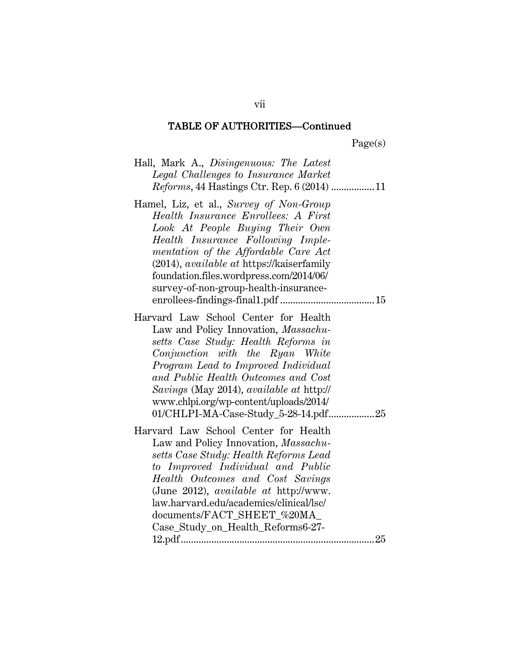Page(s)

|  | Hall, Mark A., Disingenuous: The Latest |  |  |
|--|-----------------------------------------|--|--|
|  | Legal Challenges to Insurance Market    |  |  |
|  |                                         |  |  |

- Hamel, Liz, et al., *Survey of Non-Group Health Insurance Enrollees: A First Look At People Buying Their Own Health Insurance Following Implementation of the Affordable Care Act* (2014), *available at* https://kaiserfamily foundation.files.wordpress.com/2014/06/ survey-of-non-group-health-insuranceenrollees-findings-final1.pdf ..................................... 15
- Harvard Law School Center for Health Law and Policy Innovation, *Massachusetts Case Study: Health Reforms in Conjunction with the Ryan White Program Lead to Improved Individual and Public Health Outcomes and Cost Savings* (May 2014), *available at* http:// www.chlpi.org/wp-content/uploads/2014/ 01/CHLPI-MA-Case-Study\_5-28-14.pdf .......................... 25

Harvard Law School Center for Health Law and Policy Innovation, *Massachusetts Case Study: Health Reforms Lead to Improved Individual and Public Health Outcomes and Cost Savings* (June 2012), *available at* http://www. law.harvard.edu/academics/clinical/lsc/ documents/FACT\_SHEET\_%20MA Case\_Study\_on\_Health\_Reforms6-27- 12.pdf ............................................................................ 25

vii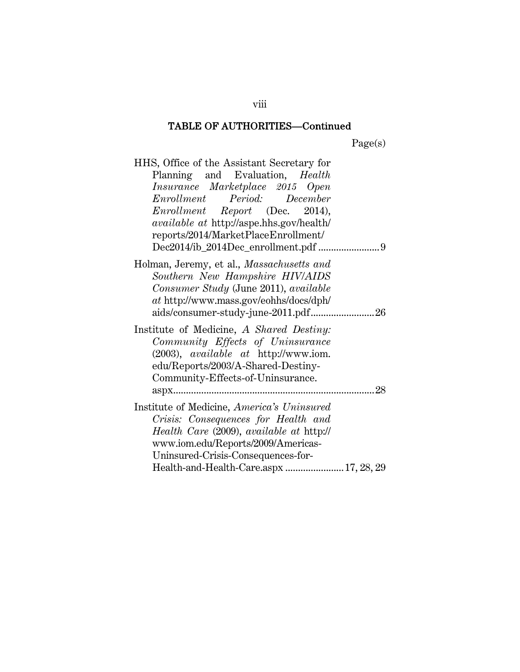Page(s)

| HHS, Office of the Assistant Secretary for       |
|--------------------------------------------------|
| Planning and Evaluation, Health                  |
| Insurance Marketplace 2015 Open                  |
| Enrollment Period: December                      |
| Enrollment Report (Dec. 2014),                   |
| <i>available at http://aspe.hhs.gov/health/</i>  |
| reports/2014/MarketPlaceEnrollment/              |
| Dec2014/ib_2014Dec_enrollment.pdf 9              |
| Holman, Jeremy, et al., <i>Massachusetts and</i> |
| Southern New Hampshire HIV/AIDS                  |
| Consumer Study (June 2011), available            |
| at http://www.mass.gov/eohhs/docs/dph/           |
|                                                  |
| Institute of Medicine, A Shared Destiny:         |
| Community Effects of Uninsurance                 |
| $(2003)$ , <i>available at</i> http://www.iom.   |
| edu/Reports/2003/A-Shared-Destiny-               |
| Community-Effects-of-Uninsurance.                |
|                                                  |
| Institute of Medicine, America's Uninsured       |
| Crisis: Consequences for Health and              |
| Health Care (2009), available at http://         |
| www.iom.edu/Reports/2009/Americas-               |
| Uninsured-Crisis-Consequences-for-               |
| Health-and-Health-Care.aspx  17, 28, 29          |

viii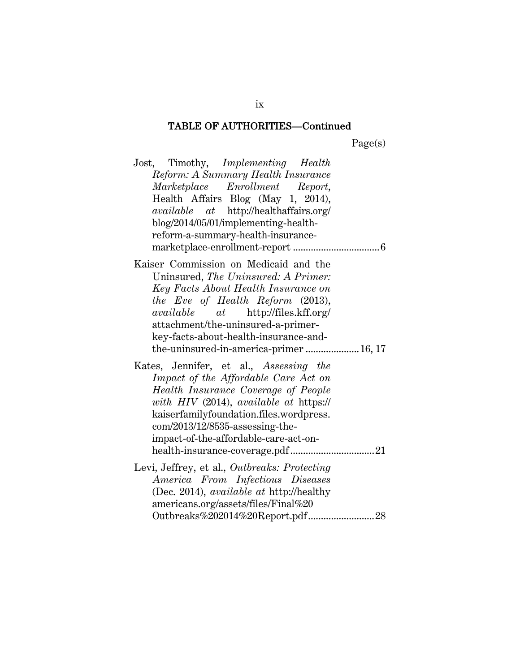Page(s)

| Jost, Timothy, <i>Implementing Health</i><br>Reform: A Summary Health Insurance<br>Marketplace Enrollment Report,<br>Health Affairs Blog (May 1, 2014),<br><i>available</i> at http://healthaffairs.org/<br>blog/2014/05/01/implementing-health-<br>reform-a-summary-health-insurance-                                           |
|----------------------------------------------------------------------------------------------------------------------------------------------------------------------------------------------------------------------------------------------------------------------------------------------------------------------------------|
| Kaiser Commission on Medicaid and the<br>Uninsured, The Uninsured: A Primer:<br>Key Facts About Health Insurance on<br>the Eve of Health Reform (2013),<br><i>available at</i> http://files.kff.org/<br>attachment/the-uninsured-a-primer-<br>key-facts-about-health-insurance-and-                                              |
| the-uninsured-in-america-primer 16, 17<br>Kates, Jennifer, et al., Assessing the<br>Impact of the Affordable Care Act on<br>Health Insurance Coverage of People<br>with HIV (2014), available at https://<br>kaiserfamilyfoundation.files.wordpress.<br>com/2013/12/8535-assessing-the-<br>impact-of-the-affordable-care-act-on- |
| Levi, Jeffrey, et al., Outbreaks: Protecting<br>America From Infectious Diseases<br>(Dec. 2014), <i>available at http://healthy</i><br>americans.org/assets/files/Final%20                                                                                                                                                       |

ix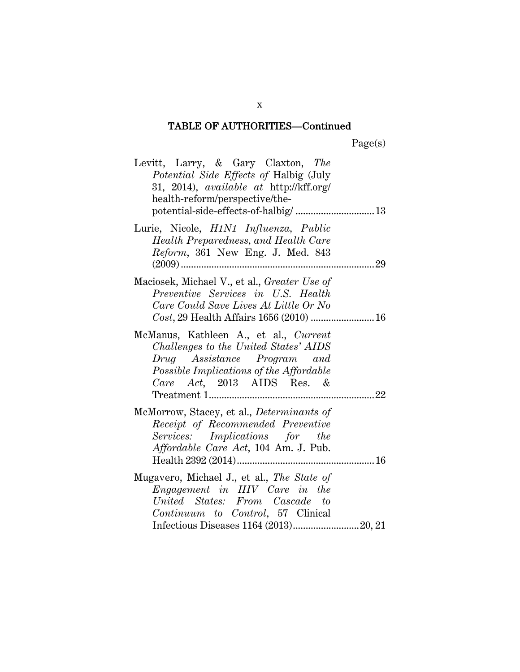| Levitt, Larry, & Gary Claxton, The<br>Potential Side Effects of Halbig (July<br>31, 2014), available at http://kff.org/<br>health-reform/perspective/the-<br>potential-side-effects-of-halbig/ 13 |
|---------------------------------------------------------------------------------------------------------------------------------------------------------------------------------------------------|
| Lurie, Nicole, H1N1 Influenza, Public<br>Health Preparedness, and Health Care<br>Reform, 361 New Eng. J. Med. 843                                                                                 |
| Maciosek, Michael V., et al., Greater Use of<br>Preventive Services in U.S. Health<br>Care Could Save Lives At Little Or No                                                                       |
| McManus, Kathleen A., et al., Current<br>Challenges to the United States' AIDS<br>Drug Assistance Program and<br>Possible Implications of the Affordable<br>Care Act, 2013 AIDS Res. &            |
| McMorrow, Stacey, et al., Determinants of<br>Receipt of Recommended Preventive<br>Services: Implications for the<br><i>Affordable Care Act</i> , 104 Am. J. Pub.                                  |
| Mugavero, Michael J., et al., The State of<br>Engagement in HIV Care in the<br>United States: From Cascade to<br>Continuum to Control, 57 Clinical                                                |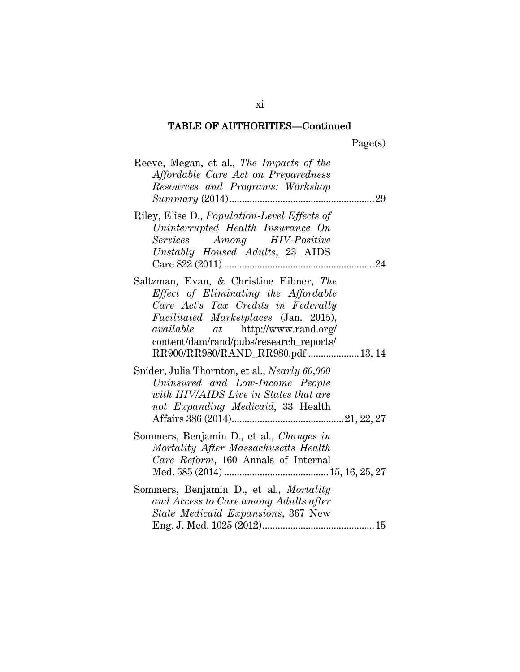| aget | s |
|------|---|
|      |   |

| Reeve, Megan, et al., The Impacts of the<br>Affordable Care Act on Preparedness<br>Resources and Programs: Workshop<br>29                                                                                                                                                                    |
|----------------------------------------------------------------------------------------------------------------------------------------------------------------------------------------------------------------------------------------------------------------------------------------------|
| Riley, Elise D., Population-Level Effects of<br>Uninterrupted Health Insurance On<br>Services Among HIV-Positive<br>Unstably Housed Adults, 23 AIDS                                                                                                                                          |
| Saltzman, Evan, & Christine Eibner, The<br>Effect of Eliminating the Affordable<br>Care Act's Tax Credits in Federally<br>Facilitated Marketplaces (Jan. 2015),<br><i>available</i> at http://www.rand.org/<br>content/dam/rand/pubs/research_reports/<br>RR900/RR980/RAND_RR980.pdf  13, 14 |
| Snider, Julia Thornton, et al., <i>Nearly 60,000</i><br>Uninsured and Low-Income People<br>with HIV/AIDS Live in States that are<br>not Expanding Medicaid, 33 Health                                                                                                                        |
| Sommers, Benjamin D., et al., Changes in<br>Mortality After Massachusetts Health<br>Care Reform, 160 Annals of Internal                                                                                                                                                                      |
| Sommers, Benjamin D., et al., Mortality<br>and Access to Care among Adults after<br>State Medicaid Expansions, 367 New                                                                                                                                                                       |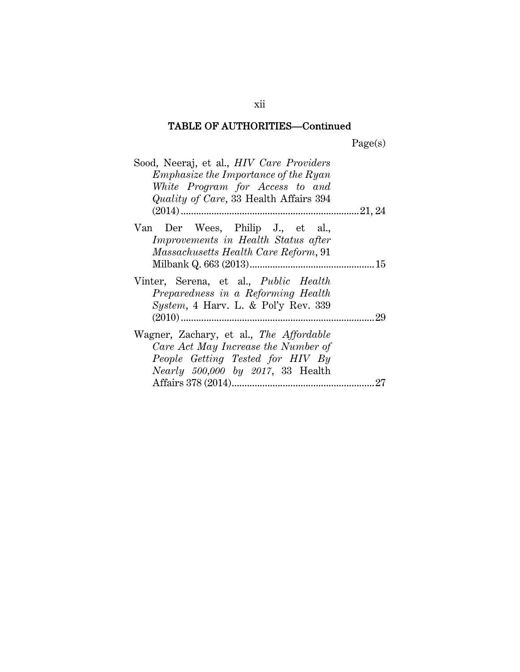Page(s)

| Sood, Neeraj, et al., <i>HIV Care Providers</i><br>$Emphasize the \,º$ Importance of the Ryan<br>White Program for Access to and<br><i>Quality of Care,</i> 33 Health Affairs 394 |    |
|-----------------------------------------------------------------------------------------------------------------------------------------------------------------------------------|----|
| Van Der Wees, Philip J., et al.,<br>Improvements in Health Status after<br><i>Massachusetts Health Care Reform,</i> 91                                                            |    |
| Vinter, Serena, et al., <i>Public Health</i><br>Preparedness in a Reforming Health<br><i>System,</i> 4 Harv. L. & Pol'y Rev. $339$                                                | 29 |
| Wagner, Zachary, et al., The Affordable<br>Care Act May Increase the Number of<br>People Getting Tested for HIV By<br>Nearly 500,000 by 2017, 33 Health                           |    |

xii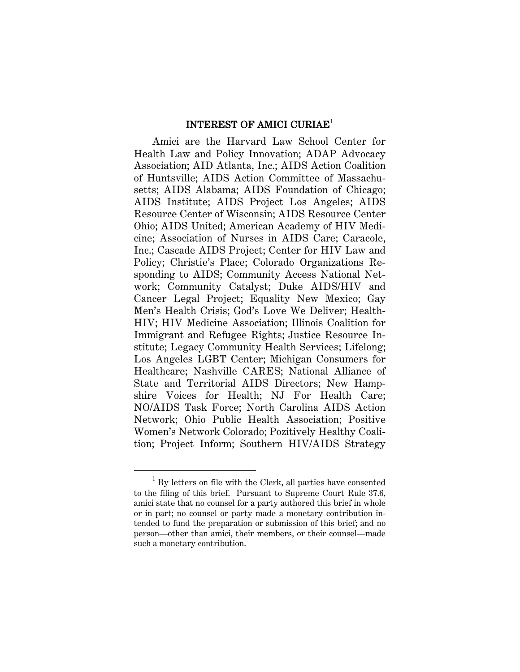#### INTEREST OF AMICI CURIAE<sup>1</sup>

Amici are the Harvard Law School Center for Health Law and Policy Innovation; ADAP Advocacy Association; AID Atlanta, Inc.; AIDS Action Coalition of Huntsville; AIDS Action Committee of Massachusetts; AIDS Alabama; AIDS Foundation of Chicago; AIDS Institute; AIDS Project Los Angeles; AIDS Resource Center of Wisconsin; AIDS Resource Center Ohio; AIDS United; American Academy of HIV Medicine; Association of Nurses in AIDS Care; Caracole, Inc.; Cascade AIDS Project; Center for HIV Law and Policy; Christie's Place; Colorado Organizations Responding to AIDS; Community Access National Network; Community Catalyst; Duke AIDS/HIV and Cancer Legal Project; Equality New Mexico; Gay Men's Health Crisis; God's Love We Deliver; Health-HIV; HIV Medicine Association; Illinois Coalition for Immigrant and Refugee Rights; Justice Resource Institute; Legacy Community Health Services; Lifelong; Los Angeles LGBT Center; Michigan Consumers for Healthcare; Nashville CARES; National Alliance of State and Territorial AIDS Directors; New Hampshire Voices for Health; NJ For Health Care; NO/AIDS Task Force; North Carolina AIDS Action Network; Ohio Public Health Association; Positive Women's Network Colorado; Pozitively Healthy Coalition; Project Inform; Southern HIV/AIDS Strategy

 $\overline{a}$ 

<sup>&</sup>lt;sup>1</sup> By letters on file with the Clerk, all parties have consented to the filing of this brief. Pursuant to Supreme Court Rule 37.6, amici state that no counsel for a party authored this brief in whole or in part; no counsel or party made a monetary contribution intended to fund the preparation or submission of this brief; and no person—other than amici, their members, or their counsel—made such a monetary contribution.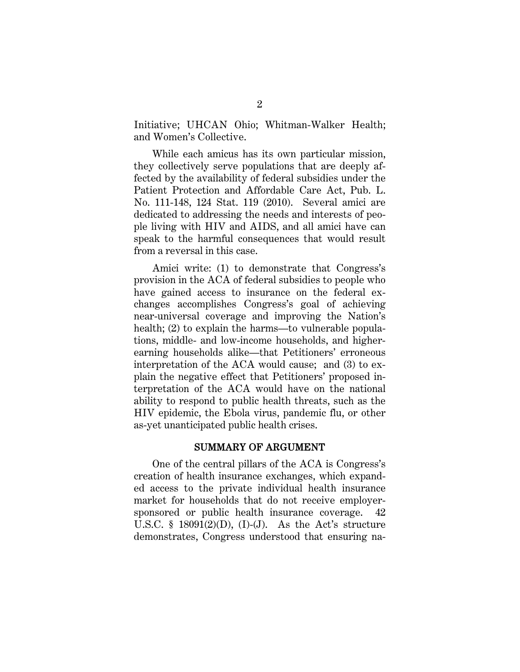Initiative; UHCAN Ohio; Whitman-Walker Health; and Women's Collective.

While each amicus has its own particular mission, they collectively serve populations that are deeply affected by the availability of federal subsidies under the Patient Protection and Affordable Care Act, Pub. L. No. 111-148, 124 Stat. 119 (2010). Several amici are dedicated to addressing the needs and interests of people living with HIV and AIDS, and all amici have can speak to the harmful consequences that would result from a reversal in this case.

Amici write: (1) to demonstrate that Congress's provision in the ACA of federal subsidies to people who have gained access to insurance on the federal exchanges accomplishes Congress's goal of achieving near-universal coverage and improving the Nation's health; (2) to explain the harms—to vulnerable populations, middle- and low-income households, and higherearning households alike—that Petitioners' erroneous interpretation of the ACA would cause; and (3) to explain the negative effect that Petitioners' proposed interpretation of the ACA would have on the national ability to respond to public health threats, such as the HIV epidemic, the Ebola virus, pandemic flu, or other as-yet unanticipated public health crises.

### SUMMARY OF ARGUMENT

One of the central pillars of the ACA is Congress's creation of health insurance exchanges, which expanded access to the private individual health insurance market for households that do not receive employersponsored or public health insurance coverage. U.S.C. § 18091 $(2)(D)$ , (I)-(J). As the Act's structure demonstrates, Congress understood that ensuring na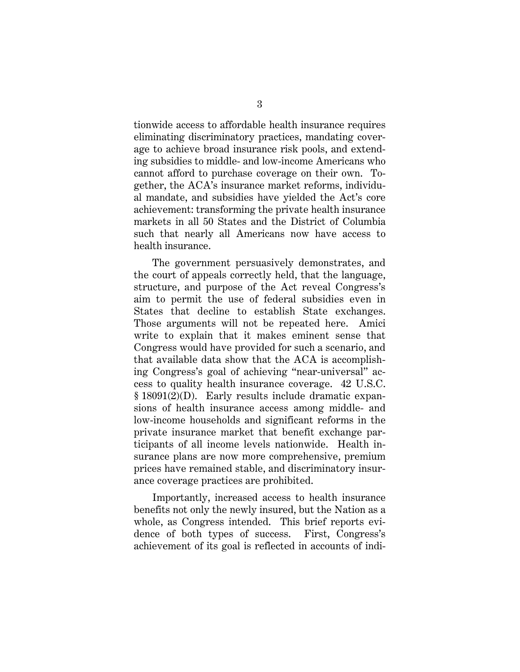tionwide access to affordable health insurance requires eliminating discriminatory practices, mandating coverage to achieve broad insurance risk pools, and extending subsidies to middle- and low-income Americans who cannot afford to purchase coverage on their own. Together, the ACA's insurance market reforms, individual mandate, and subsidies have yielded the Act's core achievement: transforming the private health insurance markets in all 50 States and the District of Columbia such that nearly all Americans now have access to health insurance.

The government persuasively demonstrates, and the court of appeals correctly held, that the language, structure, and purpose of the Act reveal Congress's aim to permit the use of federal subsidies even in States that decline to establish State exchanges. Those arguments will not be repeated here. Amici write to explain that it makes eminent sense that Congress would have provided for such a scenario, and that available data show that the ACA is accomplishing Congress's goal of achieving "near-universal" access to quality health insurance coverage. 42 U.S.C. § 18091(2)(D). Early results include dramatic expansions of health insurance access among middle- and low-income households and significant reforms in the private insurance market that benefit exchange participants of all income levels nationwide. Health insurance plans are now more comprehensive, premium prices have remained stable, and discriminatory insurance coverage practices are prohibited.

Importantly, increased access to health insurance benefits not only the newly insured, but the Nation as a whole, as Congress intended. This brief reports evidence of both types of success. First, Congress's achievement of its goal is reflected in accounts of indi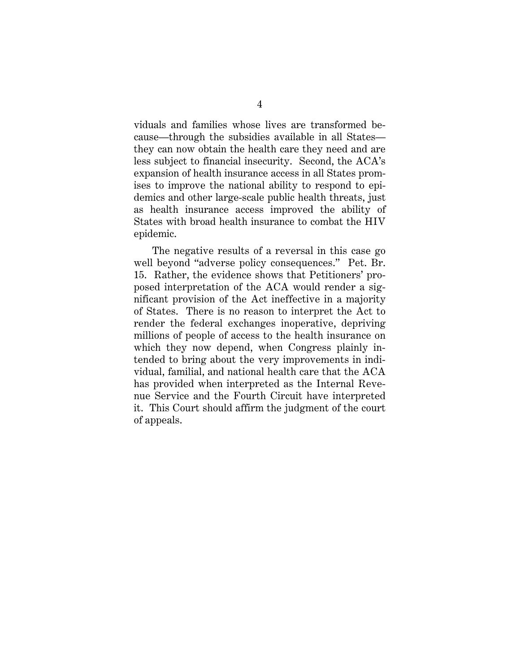viduals and families whose lives are transformed because—through the subsidies available in all States they can now obtain the health care they need and are less subject to financial insecurity. Second, the ACA's expansion of health insurance access in all States promises to improve the national ability to respond to epidemics and other large-scale public health threats, just as health insurance access improved the ability of States with broad health insurance to combat the HIV epidemic.

The negative results of a reversal in this case go well beyond "adverse policy consequences." Pet. Br. 15. Rather, the evidence shows that Petitioners' proposed interpretation of the ACA would render a significant provision of the Act ineffective in a majority of States. There is no reason to interpret the Act to render the federal exchanges inoperative, depriving millions of people of access to the health insurance on which they now depend, when Congress plainly intended to bring about the very improvements in individual, familial, and national health care that the ACA has provided when interpreted as the Internal Revenue Service and the Fourth Circuit have interpreted it. This Court should affirm the judgment of the court of appeals.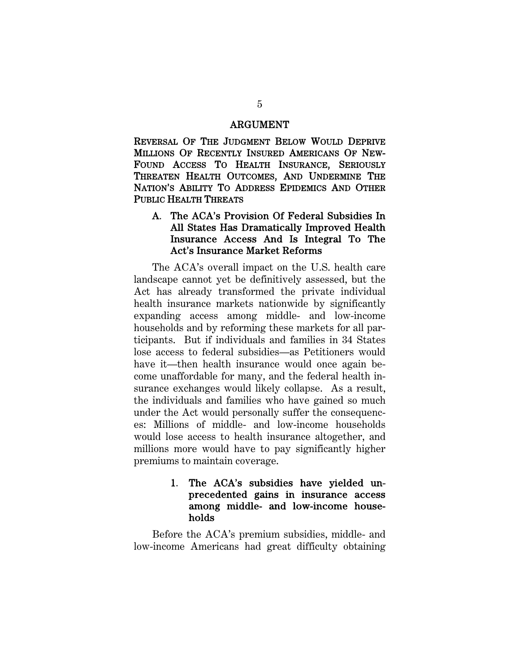#### ARGUMENT

REVERSAL OF THE JUDGMENT BELOW WOULD DEPRIVE MILLIONS OF RECENTLY INSURED AMERICANS OF NEW-FOUND ACCESS TO HEALTH INSURANCE, SERIOUSLY THREATEN HEALTH OUTCOMES, AND UNDERMINE THE NATION'S ABILITY TO ADDRESS EPIDEMICS AND OTHER PUBLIC HEALTH THREATS

#### A. The ACA's Provision Of Federal Subsidies In All States Has Dramatically Improved Health Insurance Access And Is Integral To The Act's Insurance Market Reforms

The ACA's overall impact on the U.S. health care landscape cannot yet be definitively assessed, but the Act has already transformed the private individual health insurance markets nationwide by significantly expanding access among middle- and low-income households and by reforming these markets for all participants. But if individuals and families in 34 States lose access to federal subsidies—as Petitioners would have it—then health insurance would once again become unaffordable for many, and the federal health insurance exchanges would likely collapse. As a result, the individuals and families who have gained so much under the Act would personally suffer the consequences: Millions of middle- and low-income households would lose access to health insurance altogether, and millions more would have to pay significantly higher premiums to maintain coverage.

#### 1. The ACA's subsidies have yielded unprecedented gains in insurance access among middle- and low-income households

Before the ACA's premium subsidies, middle- and low-income Americans had great difficulty obtaining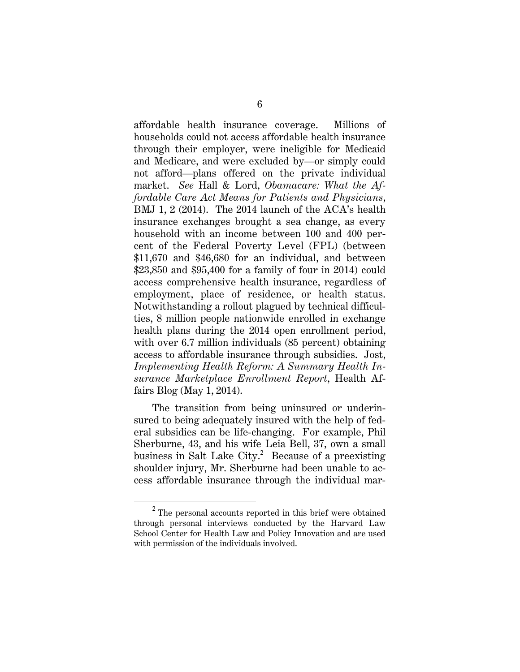affordable health insurance coverage. Millions of households could not access affordable health insurance through their employer, were ineligible for Medicaid and Medicare, and were excluded by—or simply could not afford—plans offered on the private individual market. *See* Hall & Lord, *Obamacare: What the Affordable Care Act Means for Patients and Physicians*, BMJ 1, 2 (2014). The 2014 launch of the ACA's health insurance exchanges brought a sea change, as every household with an income between 100 and 400 percent of the Federal Poverty Level (FPL) (between \$11,670 and \$46,680 for an individual, and between \$23,850 and \$95,400 for a family of four in 2014) could access comprehensive health insurance, regardless of employment, place of residence, or health status. Notwithstanding a rollout plagued by technical difficulties, 8 million people nationwide enrolled in exchange health plans during the 2014 open enrollment period, with over 6.7 million individuals (85 percent) obtaining access to affordable insurance through subsidies. Jost, *Implementing Health Reform: A Summary Health Insurance Marketplace Enrollment Report*, Health Affairs Blog (May 1, 2014).

The transition from being uninsured or underinsured to being adequately insured with the help of federal subsidies can be life-changing. For example, Phil Sherburne, 43, and his wife Leia Bell, 37, own a small business in Salt Lake City.<sup>2</sup> Because of a preexisting shoulder injury, Mr. Sherburne had been unable to access affordable insurance through the individual mar-

<sup>2</sup> The personal accounts reported in this brief were obtained through personal interviews conducted by the Harvard Law School Center for Health Law and Policy Innovation and are used with permission of the individuals involved.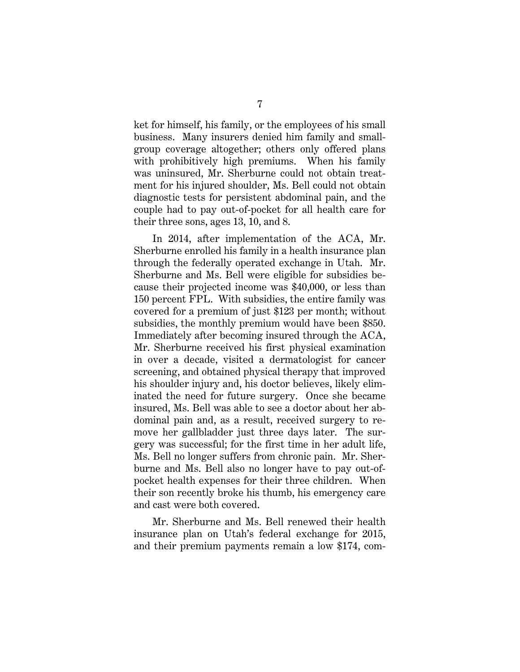ket for himself, his family, or the employees of his small business. Many insurers denied him family and smallgroup coverage altogether; others only offered plans with prohibitively high premiums. When his family was uninsured, Mr. Sherburne could not obtain treatment for his injured shoulder, Ms. Bell could not obtain diagnostic tests for persistent abdominal pain, and the couple had to pay out-of-pocket for all health care for their three sons, ages 13, 10, and 8.

In 2014, after implementation of the ACA, Mr. Sherburne enrolled his family in a health insurance plan through the federally operated exchange in Utah. Mr. Sherburne and Ms. Bell were eligible for subsidies because their projected income was \$40,000, or less than 150 percent FPL. With subsidies, the entire family was covered for a premium of just \$123 per month; without subsidies, the monthly premium would have been \$850. Immediately after becoming insured through the ACA, Mr. Sherburne received his first physical examination in over a decade, visited a dermatologist for cancer screening, and obtained physical therapy that improved his shoulder injury and, his doctor believes, likely eliminated the need for future surgery. Once she became insured, Ms. Bell was able to see a doctor about her abdominal pain and, as a result, received surgery to remove her gallbladder just three days later. The surgery was successful; for the first time in her adult life, Ms. Bell no longer suffers from chronic pain. Mr. Sherburne and Ms. Bell also no longer have to pay out-ofpocket health expenses for their three children. When their son recently broke his thumb, his emergency care and cast were both covered.

Mr. Sherburne and Ms. Bell renewed their health insurance plan on Utah's federal exchange for 2015, and their premium payments remain a low \$174, com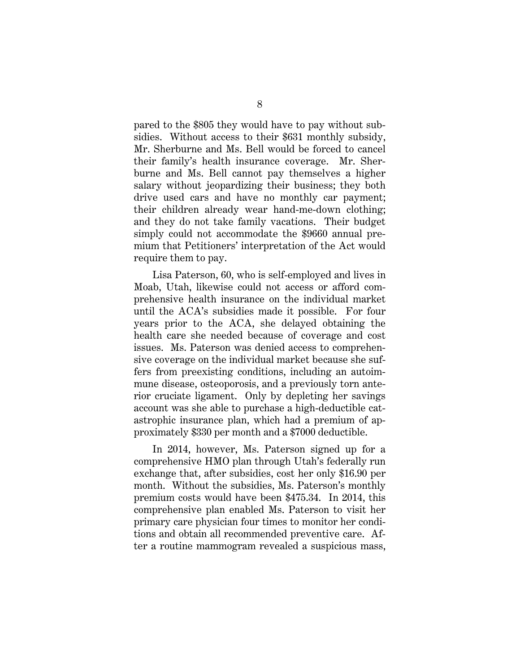pared to the \$805 they would have to pay without subsidies. Without access to their \$631 monthly subsidy, Mr. Sherburne and Ms. Bell would be forced to cancel their family's health insurance coverage. Mr. Sherburne and Ms. Bell cannot pay themselves a higher salary without jeopardizing their business; they both drive used cars and have no monthly car payment; their children already wear hand-me-down clothing; and they do not take family vacations. Their budget simply could not accommodate the \$9660 annual premium that Petitioners' interpretation of the Act would require them to pay.

Lisa Paterson, 60, who is self-employed and lives in Moab, Utah, likewise could not access or afford comprehensive health insurance on the individual market until the ACA's subsidies made it possible. For four years prior to the ACA, she delayed obtaining the health care she needed because of coverage and cost issues. Ms. Paterson was denied access to comprehensive coverage on the individual market because she suffers from preexisting conditions, including an autoimmune disease, osteoporosis, and a previously torn anterior cruciate ligament. Only by depleting her savings account was she able to purchase a high-deductible catastrophic insurance plan, which had a premium of approximately \$330 per month and a \$7000 deductible.

In 2014, however, Ms. Paterson signed up for a comprehensive HMO plan through Utah's federally run exchange that, after subsidies, cost her only \$16.90 per month. Without the subsidies, Ms. Paterson's monthly premium costs would have been \$475.34. In 2014, this comprehensive plan enabled Ms. Paterson to visit her primary care physician four times to monitor her conditions and obtain all recommended preventive care. After a routine mammogram revealed a suspicious mass,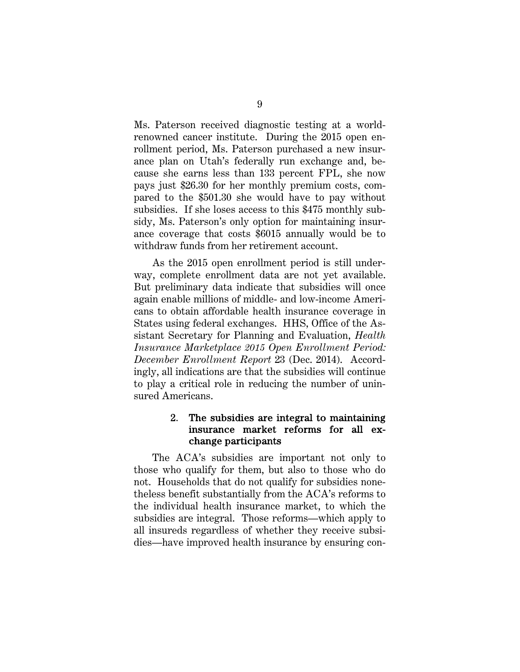Ms. Paterson received diagnostic testing at a worldrenowned cancer institute. During the 2015 open enrollment period, Ms. Paterson purchased a new insurance plan on Utah's federally run exchange and, because she earns less than 133 percent FPL, she now pays just \$26.30 for her monthly premium costs, compared to the \$501.30 she would have to pay without subsidies. If she loses access to this \$475 monthly subsidy, Ms. Paterson's only option for maintaining insurance coverage that costs \$6015 annually would be to withdraw funds from her retirement account.

As the 2015 open enrollment period is still underway, complete enrollment data are not yet available. But preliminary data indicate that subsidies will once again enable millions of middle- and low-income Americans to obtain affordable health insurance coverage in States using federal exchanges. HHS, Office of the Assistant Secretary for Planning and Evaluation, *Health Insurance Marketplace 2015 Open Enrollment Period: December Enrollment Report* 23 (Dec. 2014). Accordingly, all indications are that the subsidies will continue to play a critical role in reducing the number of uninsured Americans.

#### 2. The subsidies are integral to maintaining insurance market reforms for all exchange participants

The ACA's subsidies are important not only to those who qualify for them, but also to those who do not. Households that do not qualify for subsidies nonetheless benefit substantially from the ACA's reforms to the individual health insurance market, to which the subsidies are integral. Those reforms—which apply to all insureds regardless of whether they receive subsidies—have improved health insurance by ensuring con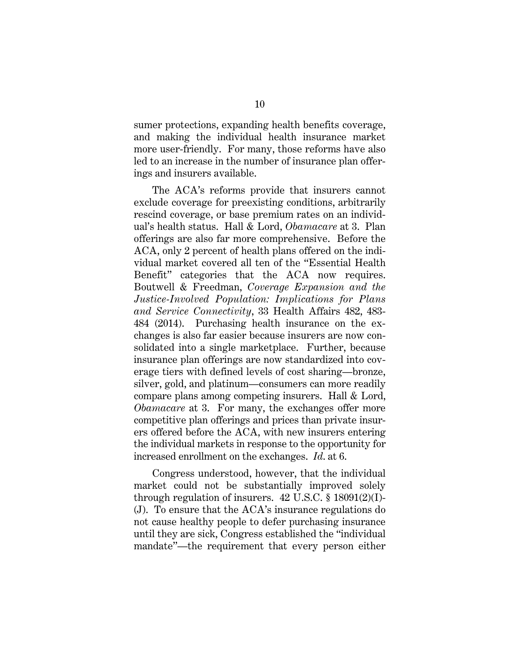sumer protections, expanding health benefits coverage, and making the individual health insurance market more user-friendly. For many, those reforms have also led to an increase in the number of insurance plan offerings and insurers available.

The ACA's reforms provide that insurers cannot exclude coverage for preexisting conditions, arbitrarily rescind coverage, or base premium rates on an individual's health status. Hall & Lord, *Obamacare* at 3. Plan offerings are also far more comprehensive. Before the ACA, only 2 percent of health plans offered on the individual market covered all ten of the "Essential Health Benefit" categories that the ACA now requires. Boutwell & Freedman, *Coverage Expansion and the Justice-Involved Population: Implications for Plans and Service Connectivity*, 33 Health Affairs 482, 483- 484 (2014). Purchasing health insurance on the exchanges is also far easier because insurers are now consolidated into a single marketplace. Further, because insurance plan offerings are now standardized into coverage tiers with defined levels of cost sharing—bronze, silver, gold, and platinum—consumers can more readily compare plans among competing insurers. Hall & Lord, *Obamacare* at 3. For many, the exchanges offer more competitive plan offerings and prices than private insurers offered before the ACA, with new insurers entering the individual markets in response to the opportunity for increased enrollment on the exchanges. *Id*. at 6.

Congress understood, however, that the individual market could not be substantially improved solely through regulation of insurers.  $42 \text{ U.S.C.} \$   $18091(2)(I)$ -(J). To ensure that the ACA's insurance regulations do not cause healthy people to defer purchasing insurance until they are sick, Congress established the "individual mandate"—the requirement that every person either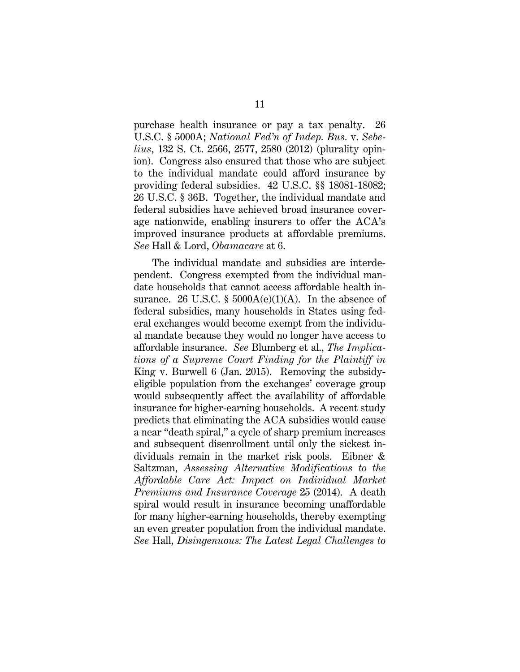purchase health insurance or pay a tax penalty. 26 U.S.C. § 5000A; *National Fed'n of Indep. Bus.* v. *Sebelius*, 132 S. Ct. 2566, 2577, 2580 (2012) (plurality opinion). Congress also ensured that those who are subject to the individual mandate could afford insurance by providing federal subsidies. 42 U.S.C. §§ 18081-18082; 26 U.S.C. § 36B. Together, the individual mandate and federal subsidies have achieved broad insurance coverage nationwide, enabling insurers to offer the ACA's improved insurance products at affordable premiums. *See* Hall & Lord, *Obamacare* at 6.

The individual mandate and subsidies are interdependent. Congress exempted from the individual mandate households that cannot access affordable health insurance. 26 U.S.C. §  $5000A(e)(1)(A)$ . In the absence of federal subsidies, many households in States using federal exchanges would become exempt from the individual mandate because they would no longer have access to affordable insurance. *See* Blumberg et al., *The Implications of a Supreme Court Finding for the Plaintiff in*  King v. Burwell 6 (Jan. 2015). Removing the subsidyeligible population from the exchanges' coverage group would subsequently affect the availability of affordable insurance for higher-earning households. A recent study predicts that eliminating the ACA subsidies would cause a near "death spiral," a cycle of sharp premium increases and subsequent disenrollment until only the sickest individuals remain in the market risk pools. Eibner & Saltzman, *Assessing Alternative Modifications to the Affordable Care Act: Impact on Individual Market Premiums and Insurance Coverage* 25 (2014). A death spiral would result in insurance becoming unaffordable for many higher-earning households, thereby exempting an even greater population from the individual mandate. *See* Hall, *Disingenuous: The Latest Legal Challenges to*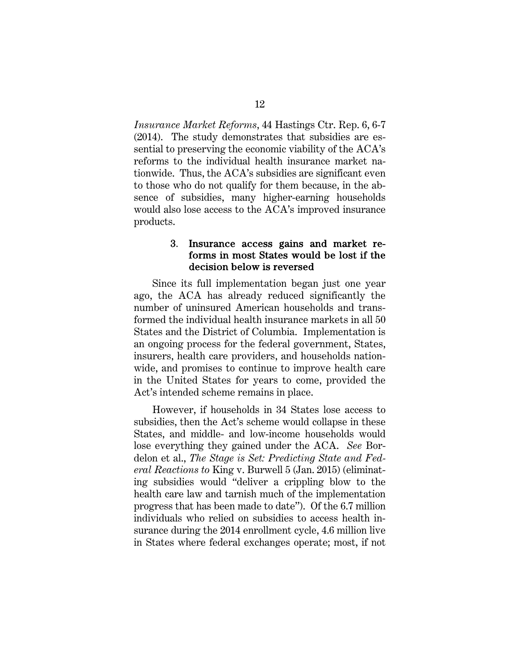*Insurance Market Reforms*, 44 Hastings Ctr. Rep. 6, 6-7 (2014). The study demonstrates that subsidies are essential to preserving the economic viability of the ACA's reforms to the individual health insurance market nationwide. Thus, the ACA's subsidies are significant even to those who do not qualify for them because, in the absence of subsidies, many higher-earning households would also lose access to the ACA's improved insurance products.

#### 3. Insurance access gains and market reforms in most States would be lost if the decision below is reversed

Since its full implementation began just one year ago, the ACA has already reduced significantly the number of uninsured American households and transformed the individual health insurance markets in all 50 States and the District of Columbia. Implementation is an ongoing process for the federal government, States, insurers, health care providers, and households nationwide, and promises to continue to improve health care in the United States for years to come, provided the Act's intended scheme remains in place.

However, if households in 34 States lose access to subsidies, then the Act's scheme would collapse in these States, and middle- and low-income households would lose everything they gained under the ACA. *See* Bordelon et al., *The Stage is Set: Predicting State and Federal Reactions to* King v. Burwell 5 (Jan. 2015) (eliminating subsidies would "deliver a crippling blow to the health care law and tarnish much of the implementation progress that has been made to date"). Of the 6.7 million individuals who relied on subsidies to access health insurance during the 2014 enrollment cycle, 4.6 million live in States where federal exchanges operate; most, if not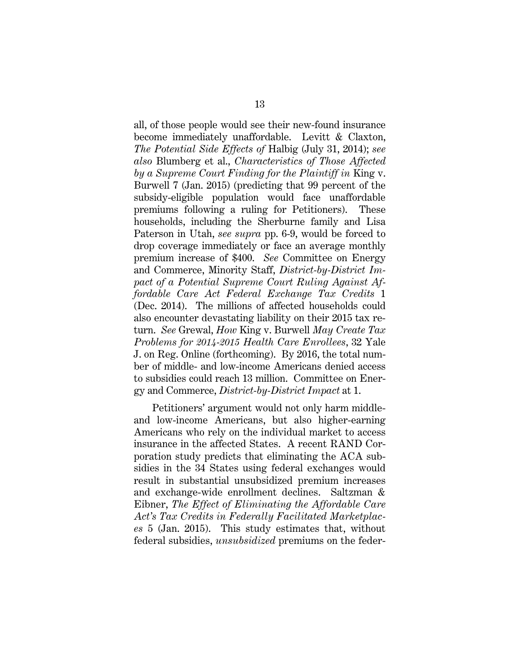all, of those people would see their new-found insurance become immediately unaffordable. Levitt & Claxton, *The Potential Side Effects of* Halbig (July 31, 2014); *see also* Blumberg et al., *Characteristics of Those Affected by a Supreme Court Finding for the Plaintiff in* King v. Burwell 7 (Jan. 2015) (predicting that 99 percent of the subsidy-eligible population would face unaffordable premiums following a ruling for Petitioners). These households, including the Sherburne family and Lisa Paterson in Utah, *see supra* pp. 6-9, would be forced to drop coverage immediately or face an average monthly premium increase of \$400. *See* Committee on Energy and Commerce, Minority Staff, *District-by-District Impact of a Potential Supreme Court Ruling Against Affordable Care Act Federal Exchange Tax Credits* 1 (Dec. 2014). The millions of affected households could also encounter devastating liability on their 2015 tax return. *See* Grewal, *How* King v. Burwell *May Create Tax Problems for 2014-2015 Health Care Enrollees*, 32 Yale J. on Reg. Online (forthcoming). By 2016, the total number of middle- and low-income Americans denied access to subsidies could reach 13 million. Committee on Energy and Commerce, *District-by-District Impact* at 1.

Petitioners' argument would not only harm middleand low-income Americans, but also higher-earning Americans who rely on the individual market to access insurance in the affected States. A recent RAND Corporation study predicts that eliminating the ACA subsidies in the 34 States using federal exchanges would result in substantial unsubsidized premium increases and exchange-wide enrollment declines. Saltzman & Eibner, *The Effect of Eliminating the Affordable Care Act's Tax Credits in Federally Facilitated Marketplaces* 5 (Jan. 2015). This study estimates that, without federal subsidies, *unsubsidized* premiums on the feder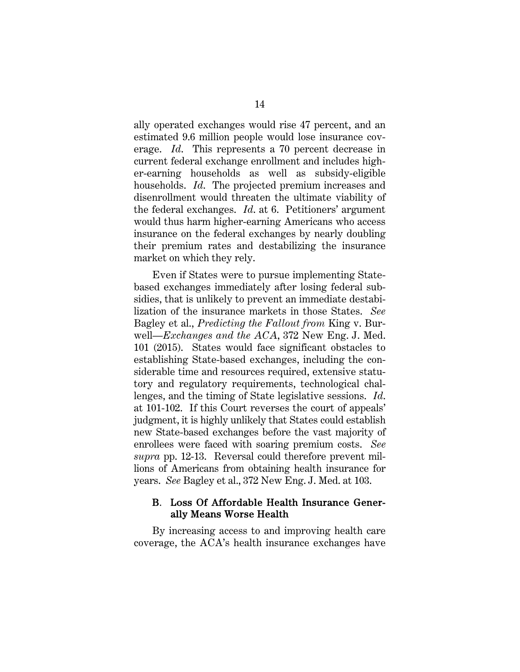ally operated exchanges would rise 47 percent, and an estimated 9.6 million people would lose insurance coverage. *Id*. This represents a 70 percent decrease in current federal exchange enrollment and includes higher-earning households as well as subsidy-eligible households. *Id*. The projected premium increases and disenrollment would threaten the ultimate viability of the federal exchanges. *Id*. at 6. Petitioners' argument would thus harm higher-earning Americans who access insurance on the federal exchanges by nearly doubling their premium rates and destabilizing the insurance market on which they rely.

Even if States were to pursue implementing Statebased exchanges immediately after losing federal subsidies, that is unlikely to prevent an immediate destabilization of the insurance markets in those States. *See* Bagley et al., *Predicting the Fallout from* King v. Burwell—*Exchanges and the ACA*, 372 New Eng. J. Med. 101 (2015). States would face significant obstacles to establishing State-based exchanges, including the considerable time and resources required, extensive statutory and regulatory requirements, technological challenges, and the timing of State legislative sessions. *Id*. at 101-102. If this Court reverses the court of appeals' judgment, it is highly unlikely that States could establish new State-based exchanges before the vast majority of enrollees were faced with soaring premium costs. *See supra* pp. 12-13. Reversal could therefore prevent millions of Americans from obtaining health insurance for years. *See* Bagley et al., 372 New Eng. J. Med. at 103.

#### B. Loss Of Affordable Health Insurance Generally Means Worse Health

By increasing access to and improving health care coverage, the ACA's health insurance exchanges have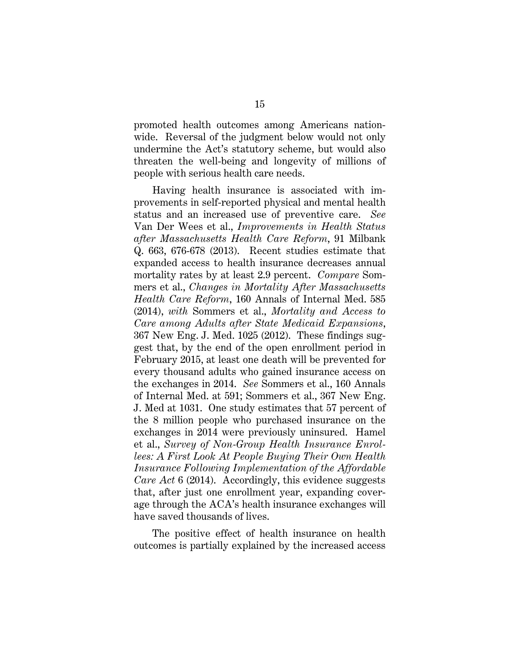promoted health outcomes among Americans nationwide. Reversal of the judgment below would not only undermine the Act's statutory scheme, but would also threaten the well-being and longevity of millions of people with serious health care needs.

Having health insurance is associated with improvements in self-reported physical and mental health status and an increased use of preventive care. *See* Van Der Wees et al., *Improvements in Health Status after Massachusetts Health Care Reform*, 91 Milbank Q. 663, 676-678 (2013). Recent studies estimate that expanded access to health insurance decreases annual mortality rates by at least 2.9 percent. *Compare* Sommers et al., *Changes in Mortality After Massachusetts Health Care Reform*, 160 Annals of Internal Med. 585 (2014), *with* Sommers et al., *Mortality and Access to Care among Adults after State Medicaid Expansions*, 367 New Eng. J. Med. 1025 (2012). These findings suggest that, by the end of the open enrollment period in February 2015, at least one death will be prevented for every thousand adults who gained insurance access on the exchanges in 2014. *See* Sommers et al., 160 Annals of Internal Med. at 591; Sommers et al., 367 New Eng. J. Med at 1031. One study estimates that 57 percent of the 8 million people who purchased insurance on the exchanges in 2014 were previously uninsured. Hamel et al., *Survey of Non-Group Health Insurance Enrollees: A First Look At People Buying Their Own Health Insurance Following Implementation of the Affordable Care Act* 6 (2014). Accordingly, this evidence suggests that, after just one enrollment year, expanding coverage through the ACA's health insurance exchanges will have saved thousands of lives.

The positive effect of health insurance on health outcomes is partially explained by the increased access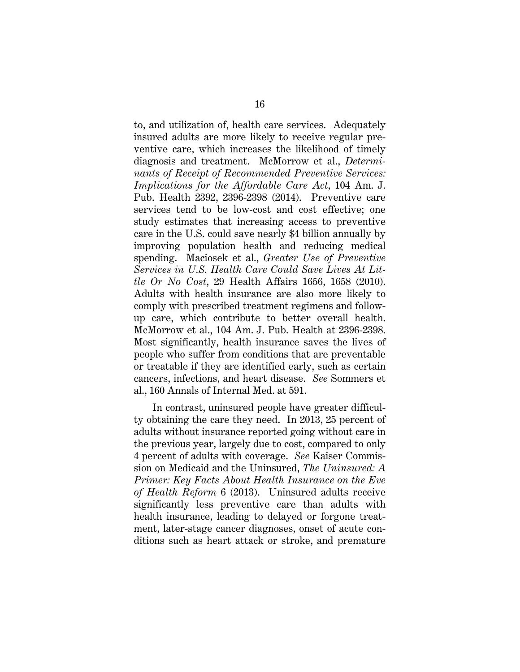to, and utilization of, health care services. Adequately insured adults are more likely to receive regular preventive care, which increases the likelihood of timely diagnosis and treatment. McMorrow et al., *Determinants of Receipt of Recommended Preventive Services: Implications for the Affordable Care Act*, 104 Am. J. Pub. Health 2392, 2396-2398 (2014). Preventive care services tend to be low-cost and cost effective; one study estimates that increasing access to preventive care in the U.S. could save nearly \$4 billion annually by improving population health and reducing medical spending. Maciosek et al., *Greater Use of Preventive Services in U.S. Health Care Could Save Lives At Little Or No Cost*, 29 Health Affairs 1656, 1658 (2010). Adults with health insurance are also more likely to comply with prescribed treatment regimens and followup care, which contribute to better overall health. McMorrow et al., 104 Am. J. Pub. Health at 2396-2398. Most significantly, health insurance saves the lives of people who suffer from conditions that are preventable or treatable if they are identified early, such as certain cancers, infections, and heart disease. *See* Sommers et al., 160 Annals of Internal Med. at 591.

In contrast, uninsured people have greater difficulty obtaining the care they need. In 2013, 25 percent of adults without insurance reported going without care in the previous year, largely due to cost, compared to only 4 percent of adults with coverage. *See* Kaiser Commission on Medicaid and the Uninsured, *The Uninsured: A Primer: Key Facts About Health Insurance on the Eve of Health Reform* 6 (2013). Uninsured adults receive significantly less preventive care than adults with health insurance, leading to delayed or forgone treatment, later-stage cancer diagnoses, onset of acute conditions such as heart attack or stroke, and premature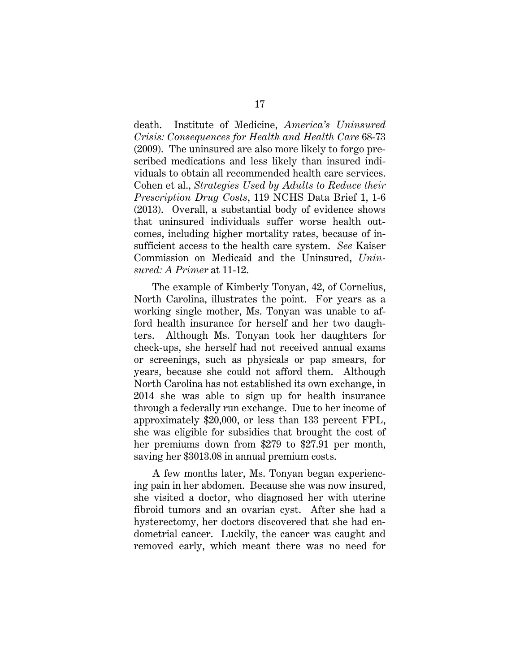death. Institute of Medicine, *America's Uninsured Crisis: Consequences for Health and Health Care* 68-73 (2009). The uninsured are also more likely to forgo prescribed medications and less likely than insured individuals to obtain all recommended health care services. Cohen et al., *Strategies Used by Adults to Reduce their Prescription Drug Costs*, 119 NCHS Data Brief 1, 1-6 (2013). Overall, a substantial body of evidence shows that uninsured individuals suffer worse health outcomes, including higher mortality rates, because of insufficient access to the health care system. *See* Kaiser Commission on Medicaid and the Uninsured, *Uninsured: A Primer* at 11-12.

The example of Kimberly Tonyan, 42, of Cornelius, North Carolina, illustrates the point. For years as a working single mother, Ms. Tonyan was unable to afford health insurance for herself and her two daughters. Although Ms. Tonyan took her daughters for check-ups, she herself had not received annual exams or screenings, such as physicals or pap smears, for years, because she could not afford them. Although North Carolina has not established its own exchange, in 2014 she was able to sign up for health insurance through a federally run exchange. Due to her income of approximately \$20,000, or less than 133 percent FPL, she was eligible for subsidies that brought the cost of her premiums down from \$279 to \$27.91 per month, saving her \$3013.08 in annual premium costs.

A few months later, Ms. Tonyan began experiencing pain in her abdomen. Because she was now insured, she visited a doctor, who diagnosed her with uterine fibroid tumors and an ovarian cyst. After she had a hysterectomy, her doctors discovered that she had endometrial cancer. Luckily, the cancer was caught and removed early, which meant there was no need for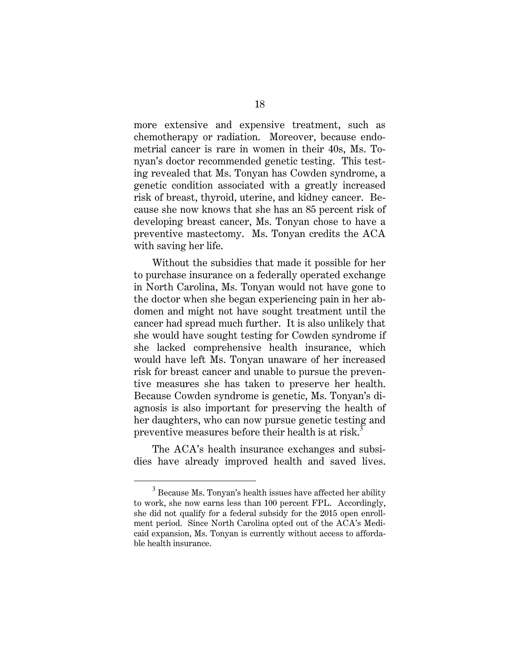more extensive and expensive treatment, such as chemotherapy or radiation. Moreover, because endometrial cancer is rare in women in their 40s, Ms. Tonyan's doctor recommended genetic testing. This testing revealed that Ms. Tonyan has Cowden syndrome, a genetic condition associated with a greatly increased risk of breast, thyroid, uterine, and kidney cancer. Because she now knows that she has an 85 percent risk of developing breast cancer, Ms. Tonyan chose to have a preventive mastectomy. Ms. Tonyan credits the ACA with saving her life.

Without the subsidies that made it possible for her to purchase insurance on a federally operated exchange in North Carolina, Ms. Tonyan would not have gone to the doctor when she began experiencing pain in her abdomen and might not have sought treatment until the cancer had spread much further. It is also unlikely that she would have sought testing for Cowden syndrome if she lacked comprehensive health insurance, which would have left Ms. Tonyan unaware of her increased risk for breast cancer and unable to pursue the preventive measures she has taken to preserve her health. Because Cowden syndrome is genetic, Ms. Tonyan's diagnosis is also important for preserving the health of her daughters, who can now pursue genetic testing and preventive measures before their health is at risk.<sup>3</sup>

The ACA's health insurance exchanges and subsidies have already improved health and saved lives.

 $\overline{a}$ 

 $3$  Because Ms. Tonyan's health issues have affected her ability to work, she now earns less than 100 percent FPL. Accordingly, she did not qualify for a federal subsidy for the 2015 open enrollment period. Since North Carolina opted out of the ACA's Medicaid expansion, Ms. Tonyan is currently without access to affordable health insurance.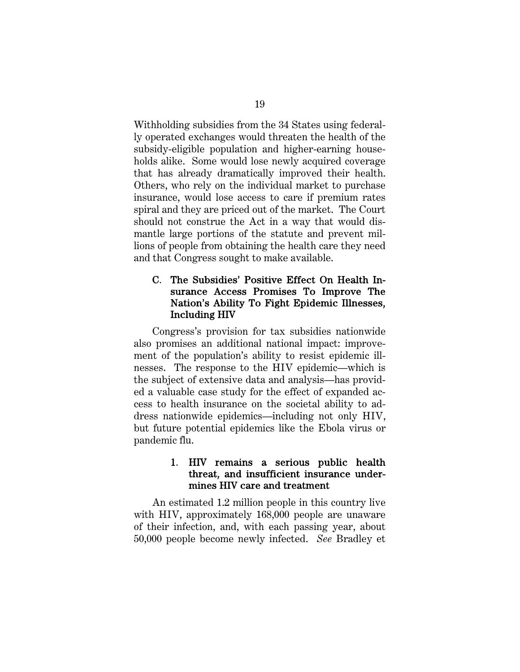Withholding subsidies from the 34 States using federally operated exchanges would threaten the health of the subsidy-eligible population and higher-earning households alike. Some would lose newly acquired coverage that has already dramatically improved their health. Others, who rely on the individual market to purchase insurance, would lose access to care if premium rates spiral and they are priced out of the market. The Court should not construe the Act in a way that would dismantle large portions of the statute and prevent millions of people from obtaining the health care they need and that Congress sought to make available.

#### C. The Subsidies' Positive Effect On Health Insurance Access Promises To Improve The Nation's Ability To Fight Epidemic Illnesses, Including HIV

Congress's provision for tax subsidies nationwide also promises an additional national impact: improvement of the population's ability to resist epidemic illnesses. The response to the HIV epidemic—which is the subject of extensive data and analysis—has provided a valuable case study for the effect of expanded access to health insurance on the societal ability to address nationwide epidemics—including not only HIV, but future potential epidemics like the Ebola virus or pandemic flu.

#### 1. HIV remains a serious public health threat, and insufficient insurance undermines HIV care and treatment

An estimated 1.2 million people in this country live with HIV, approximately 168,000 people are unaware of their infection, and, with each passing year, about 50,000 people become newly infected. *See* Bradley et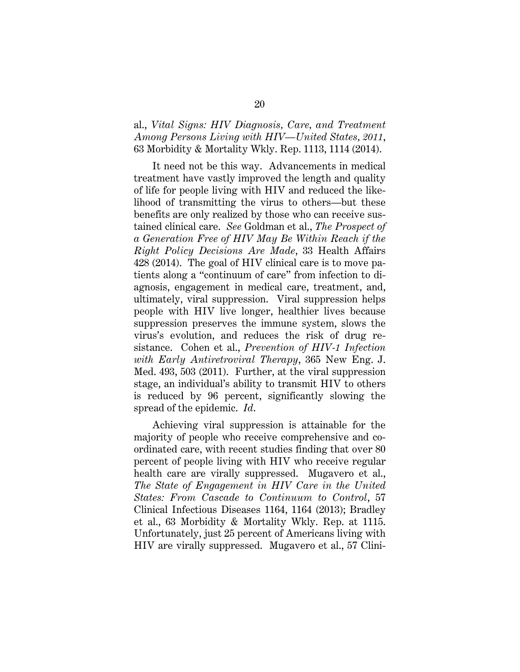al., *Vital Signs: HIV Diagnosis, Care, and Treatment Among Persons Living with HIV—United States, 2011*, 63 Morbidity & Mortality Wkly. Rep. 1113, 1114 (2014).

It need not be this way. Advancements in medical treatment have vastly improved the length and quality of life for people living with HIV and reduced the likelihood of transmitting the virus to others—but these benefits are only realized by those who can receive sustained clinical care. *See* Goldman et al., *The Prospect of a Generation Free of HIV May Be Within Reach if the Right Policy Decisions Are Made*, 33 Health Affairs 428 (2014). The goal of HIV clinical care is to move patients along a "continuum of care" from infection to diagnosis, engagement in medical care, treatment, and, ultimately, viral suppression. Viral suppression helps people with HIV live longer, healthier lives because suppression preserves the immune system, slows the virus's evolution, and reduces the risk of drug resistance. Cohen et al., *Prevention of HIV-1 Infection with Early Antiretroviral Therapy*, 365 New Eng. J. Med. 493, 503 (2011). Further, at the viral suppression stage, an individual's ability to transmit HIV to others is reduced by 96 percent, significantly slowing the spread of the epidemic. *Id*.

Achieving viral suppression is attainable for the majority of people who receive comprehensive and coordinated care, with recent studies finding that over 80 percent of people living with HIV who receive regular health care are virally suppressed. Mugavero et al., *The State of Engagement in HIV Care in the United States: From Cascade to Continuum to Control*, 57 Clinical Infectious Diseases 1164, 1164 (2013); Bradley et al., 63 Morbidity & Mortality Wkly. Rep. at 1115. Unfortunately, just 25 percent of Americans living with HIV are virally suppressed. Mugavero et al., 57 Clini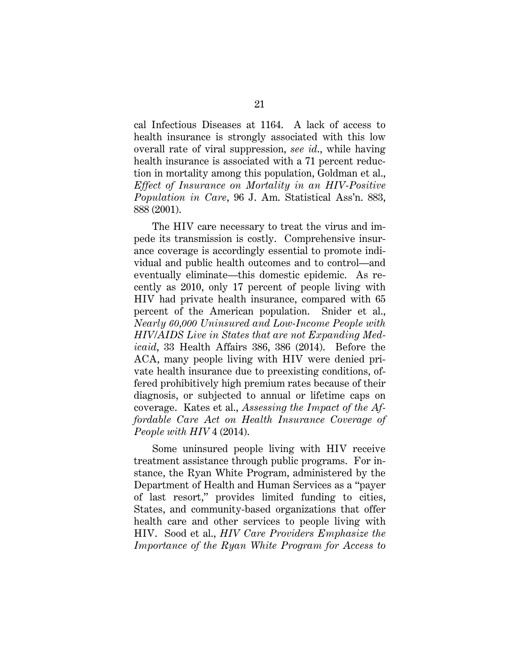cal Infectious Diseases at 1164. A lack of access to health insurance is strongly associated with this low overall rate of viral suppression, *see id*., while having health insurance is associated with a 71 percent reduction in mortality among this population, Goldman et al., *Effect of Insurance on Mortality in an HIV-Positive Population in Care*, 96 J. Am. Statistical Ass'n. 883, 888 (2001).

The HIV care necessary to treat the virus and impede its transmission is costly. Comprehensive insurance coverage is accordingly essential to promote individual and public health outcomes and to control—and eventually eliminate—this domestic epidemic. As recently as 2010, only 17 percent of people living with HIV had private health insurance, compared with 65 percent of the American population. Snider et al., *Nearly 60,000 Uninsured and Low-Income People with HIV/AIDS Live in States that are not Expanding Medicaid*, 33 Health Affairs 386, 386 (2014). Before the ACA, many people living with HIV were denied private health insurance due to preexisting conditions, offered prohibitively high premium rates because of their diagnosis, or subjected to annual or lifetime caps on coverage. Kates et al., *Assessing the Impact of the Affordable Care Act on Health Insurance Coverage of People with HIV* 4 (2014).

Some uninsured people living with HIV receive treatment assistance through public programs. For instance, the Ryan White Program, administered by the Department of Health and Human Services as a "payer of last resort," provides limited funding to cities, States, and community-based organizations that offer health care and other services to people living with HIV. Sood et al., *HIV Care Providers Emphasize the Importance of the Ryan White Program for Access to*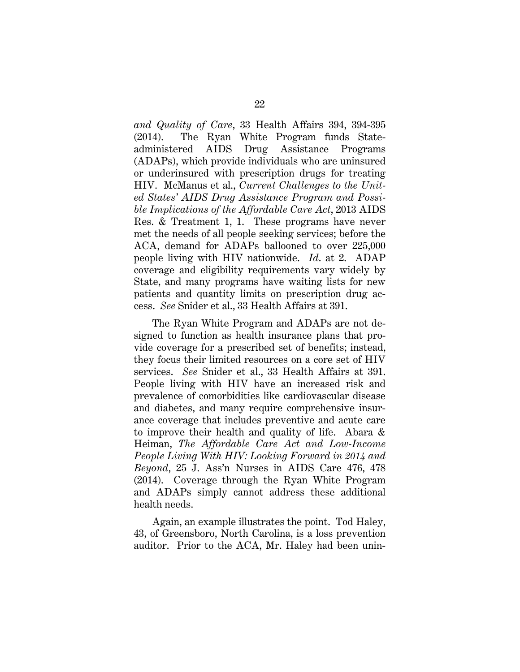*and Quality of Care*, 33 Health Affairs 394, 394-395 (2014). The Ryan White Program funds Stateadministered AIDS Drug Assistance Programs (ADAPs), which provide individuals who are uninsured or underinsured with prescription drugs for treating HIV. McManus et al., *Current Challenges to the United States' AIDS Drug Assistance Program and Possible Implications of the Affordable Care Act*, 2013 AIDS Res. & Treatment 1, 1. These programs have never met the needs of all people seeking services; before the ACA, demand for ADAPs ballooned to over 225,000 people living with HIV nationwide. *Id*. at 2. ADAP coverage and eligibility requirements vary widely by State, and many programs have waiting lists for new patients and quantity limits on prescription drug access. *See* Snider et al., 33 Health Affairs at 391.

The Ryan White Program and ADAPs are not designed to function as health insurance plans that provide coverage for a prescribed set of benefits; instead, they focus their limited resources on a core set of HIV services. *See* Snider et al., 33 Health Affairs at 391. People living with HIV have an increased risk and prevalence of comorbidities like cardiovascular disease and diabetes, and many require comprehensive insurance coverage that includes preventive and acute care to improve their health and quality of life. Abara & Heiman, *The Affordable Care Act and Low-Income People Living With HIV: Looking Forward in 2014 and Beyond*, 25 J. Ass'n Nurses in AIDS Care 476, 478 (2014). Coverage through the Ryan White Program and ADAPs simply cannot address these additional health needs.

Again, an example illustrates the point. Tod Haley, 43, of Greensboro, North Carolina, is a loss prevention auditor. Prior to the ACA, Mr. Haley had been unin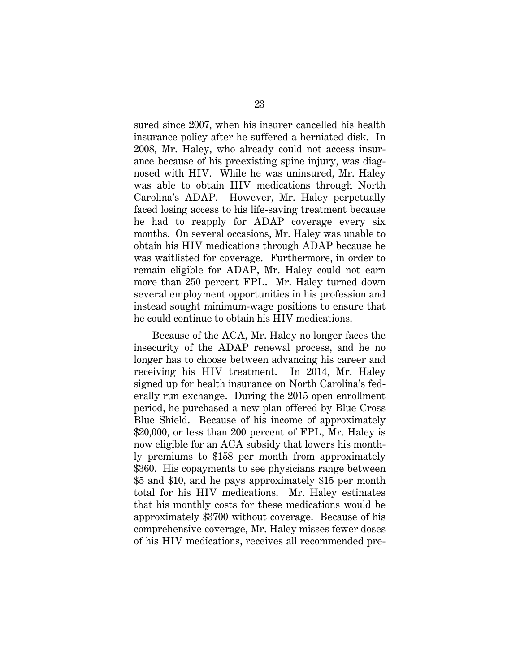sured since 2007, when his insurer cancelled his health insurance policy after he suffered a herniated disk. In 2008, Mr. Haley, who already could not access insurance because of his preexisting spine injury, was diagnosed with HIV. While he was uninsured, Mr. Haley was able to obtain HIV medications through North Carolina's ADAP. However, Mr. Haley perpetually faced losing access to his life-saving treatment because he had to reapply for ADAP coverage every six months. On several occasions, Mr. Haley was unable to obtain his HIV medications through ADAP because he was waitlisted for coverage. Furthermore, in order to remain eligible for ADAP, Mr. Haley could not earn more than 250 percent FPL. Mr. Haley turned down several employment opportunities in his profession and instead sought minimum-wage positions to ensure that he could continue to obtain his HIV medications.

Because of the ACA, Mr. Haley no longer faces the insecurity of the ADAP renewal process, and he no longer has to choose between advancing his career and receiving his HIV treatment. In 2014, Mr. Haley signed up for health insurance on North Carolina's federally run exchange. During the 2015 open enrollment period, he purchased a new plan offered by Blue Cross Blue Shield. Because of his income of approximately \$20,000, or less than 200 percent of FPL, Mr. Haley is now eligible for an ACA subsidy that lowers his monthly premiums to \$158 per month from approximately \$360. His copayments to see physicians range between \$5 and \$10, and he pays approximately \$15 per month total for his HIV medications. Mr. Haley estimates that his monthly costs for these medications would be approximately \$3700 without coverage. Because of his comprehensive coverage, Mr. Haley misses fewer doses of his HIV medications, receives all recommended pre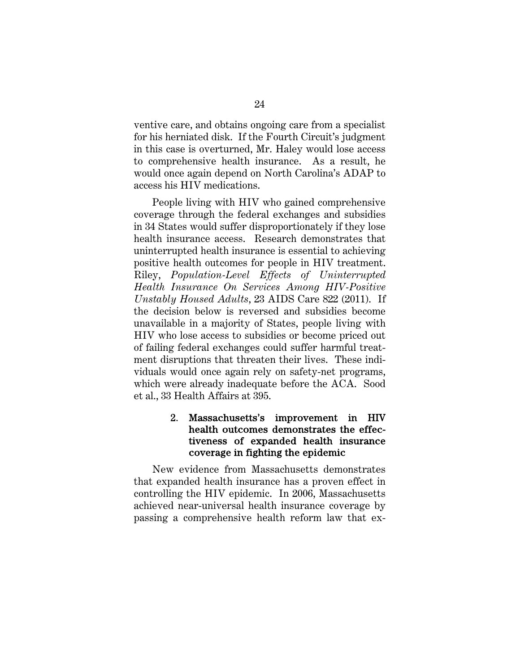ventive care, and obtains ongoing care from a specialist for his herniated disk. If the Fourth Circuit's judgment in this case is overturned, Mr. Haley would lose access to comprehensive health insurance. As a result, he would once again depend on North Carolina's ADAP to access his HIV medications.

People living with HIV who gained comprehensive coverage through the federal exchanges and subsidies in 34 States would suffer disproportionately if they lose health insurance access. Research demonstrates that uninterrupted health insurance is essential to achieving positive health outcomes for people in HIV treatment. Riley, *Population-Level Effects of Uninterrupted Health Insurance On Services Among HIV-Positive Unstably Housed Adults*, 23 AIDS Care 822 (2011). If the decision below is reversed and subsidies become unavailable in a majority of States, people living with HIV who lose access to subsidies or become priced out of failing federal exchanges could suffer harmful treatment disruptions that threaten their lives. These individuals would once again rely on safety-net programs, which were already inadequate before the ACA. Sood et al., 33 Health Affairs at 395.

#### 2. Massachusetts's improvement in HIV health outcomes demonstrates the effectiveness of expanded health insurance coverage in fighting the epidemic

New evidence from Massachusetts demonstrates that expanded health insurance has a proven effect in controlling the HIV epidemic. In 2006, Massachusetts achieved near-universal health insurance coverage by passing a comprehensive health reform law that ex-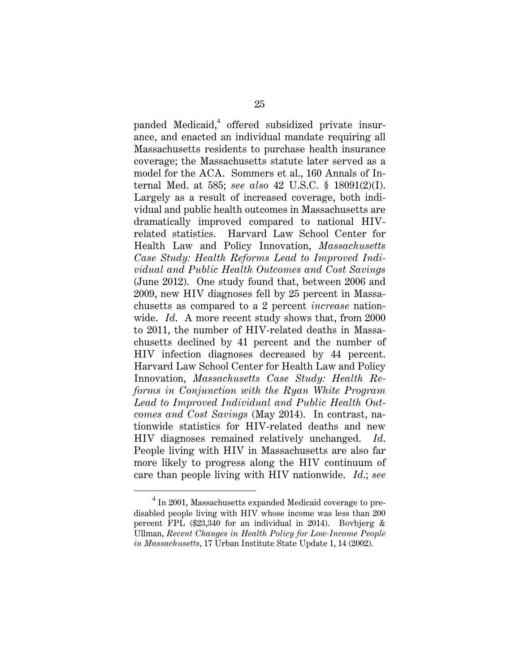panded Medicaid,<sup>4</sup> offered subsidized private insurance, and enacted an individual mandate requiring all Massachusetts residents to purchase health insurance coverage; the Massachusetts statute later served as a model for the ACA. Sommers et al., 160 Annals of Internal Med. at 585; *see also* 42 U.S.C. § 18091(2)(I). Largely as a result of increased coverage, both individual and public health outcomes in Massachusetts are dramatically improved compared to national HIVrelated statistics. Harvard Law School Center for Health Law and Policy Innovation, *Massachusetts Case Study: Health Reforms Lead to Improved Individual and Public Health Outcomes and Cost Savings* (June 2012). One study found that, between 2006 and 2009, new HIV diagnoses fell by 25 percent in Massachusetts as compared to a 2 percent *increase* nationwide. *Id*. A more recent study shows that, from 2000 to 2011, the number of HIV-related deaths in Massachusetts declined by 41 percent and the number of HIV infection diagnoses decreased by 44 percent. Harvard Law School Center for Health Law and Policy Innovation, *Massachusetts Case Study: Health Reforms in Conjunction with the Ryan White Program Lead to Improved Individual and Public Health Outcomes and Cost Savings* (May 2014). In contrast, nationwide statistics for HIV-related deaths and new HIV diagnoses remained relatively unchanged. *Id*. People living with HIV in Massachusetts are also far more likely to progress along the HIV continuum of care than people living with HIV nationwide. *Id*.; *see* 

 $\overline{4}$  $4$  In 2001, Massachusetts expanded Medicaid coverage to predisabled people living with HIV whose income was less than 200 percent FPL (\$23,340 for an individual in 2014). Bovbjerg & Ullman, *Recent Changes in Health Policy for Low-Income People in Massachusetts*, 17 Urban Institute State Update 1, 14 (2002).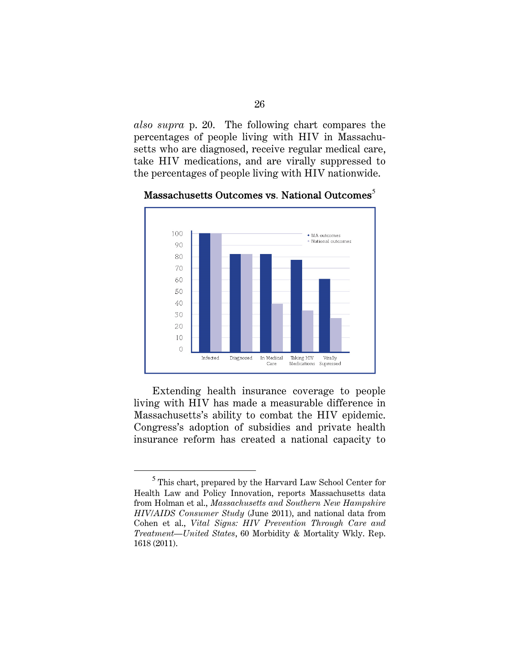*also supra* p. 20. The following chart compares the percentages of people living with HIV in Massachusetts who are diagnosed, receive regular medical care, take HIV medications, and are virally suppressed to the percentages of people living with HIV nationwide.



#### Massachusetts Outcomes vs. National Outcomes<sup>5</sup>

Extending health insurance coverage to people living with HIV has made a measurable difference in Massachusetts's ability to combat the HIV epidemic. Congress's adoption of subsidies and private health insurance reform has created a national capacity to

 $\overline{a}$ 

<sup>&</sup>lt;sup>5</sup> This chart, prepared by the Harvard Law School Center for Health Law and Policy Innovation, reports Massachusetts data from Holman et al., *Massachusetts and Southern New Hampshire HIV/AIDS Consumer Study* (June 2011), and national data from Cohen et al., *Vital Signs: HIV Prevention Through Care and Treatment—United States*, 60 Morbidity & Mortality Wkly. Rep. 1618 (2011).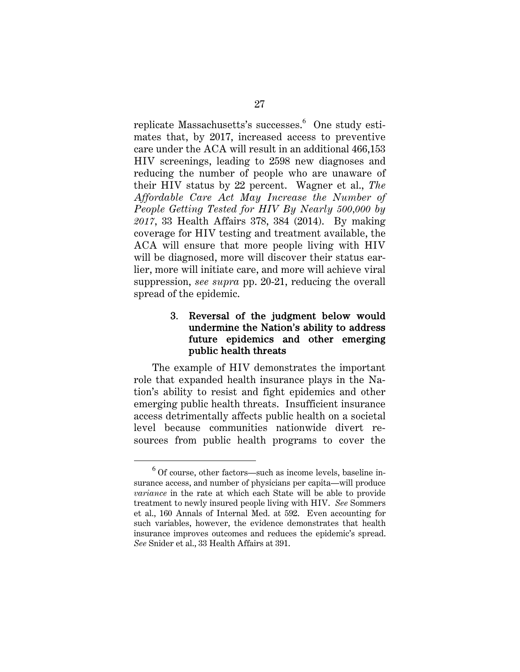replicate Massachusetts's successes.<sup>6</sup> One study estimates that, by 2017, increased access to preventive care under the ACA will result in an additional 466,153 HIV screenings, leading to 2598 new diagnoses and reducing the number of people who are unaware of their HIV status by 22 percent. Wagner et al., *The Affordable Care Act May Increase the Number of People Getting Tested for HIV By Nearly 500,000 by 2017*, 33 Health Affairs 378, 384 (2014). By making coverage for HIV testing and treatment available, the ACA will ensure that more people living with HIV will be diagnosed, more will discover their status earlier, more will initiate care, and more will achieve viral suppression, *see supra* pp. 20-21, reducing the overall spread of the epidemic.

#### 3. Reversal of the judgment below would undermine the Nation's ability to address future epidemics and other emerging public health threats

The example of HIV demonstrates the important role that expanded health insurance plays in the Nation's ability to resist and fight epidemics and other emerging public health threats. Insufficient insurance access detrimentally affects public health on a societal level because communities nationwide divert resources from public health programs to cover the

 $\overline{a}$ 

<sup>&</sup>lt;sup>6</sup> Of course, other factors—such as income levels, baseline insurance access, and number of physicians per capita—will produce *variance* in the rate at which each State will be able to provide treatment to newly insured people living with HIV. *See* Sommers et al., 160 Annals of Internal Med. at 592. Even accounting for such variables, however, the evidence demonstrates that health insurance improves outcomes and reduces the epidemic's spread. *See* Snider et al., 33 Health Affairs at 391.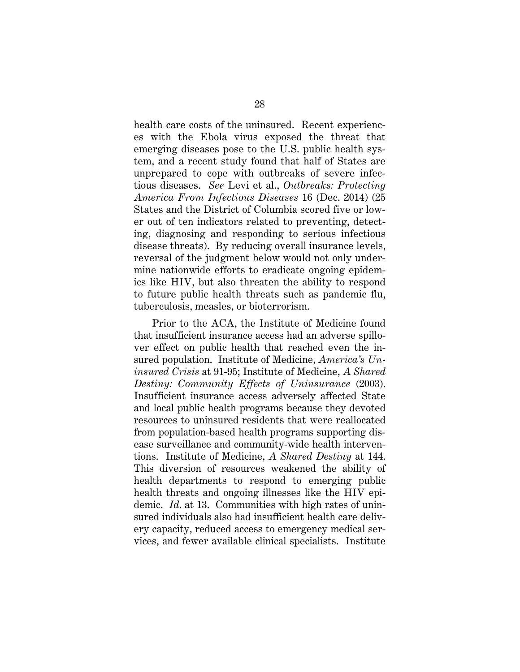health care costs of the uninsured. Recent experiences with the Ebola virus exposed the threat that emerging diseases pose to the U.S. public health system, and a recent study found that half of States are unprepared to cope with outbreaks of severe infectious diseases. *See* Levi et al., *Outbreaks: Protecting America From Infectious Diseases* 16 (Dec. 2014) (25 States and the District of Columbia scored five or lower out of ten indicators related to preventing, detecting, diagnosing and responding to serious infectious disease threats). By reducing overall insurance levels, reversal of the judgment below would not only undermine nationwide efforts to eradicate ongoing epidemics like HIV, but also threaten the ability to respond to future public health threats such as pandemic flu, tuberculosis, measles, or bioterrorism.

Prior to the ACA, the Institute of Medicine found that insufficient insurance access had an adverse spillover effect on public health that reached even the insured population. Institute of Medicine, *America's Uninsured Crisis* at 91-95; Institute of Medicine, *A Shared Destiny: Community Effects of Uninsurance* (2003). Insufficient insurance access adversely affected State and local public health programs because they devoted resources to uninsured residents that were reallocated from population-based health programs supporting disease surveillance and community-wide health interventions. Institute of Medicine, *A Shared Destiny* at 144. This diversion of resources weakened the ability of health departments to respond to emerging public health threats and ongoing illnesses like the HIV epidemic. *Id.* at 13. Communities with high rates of uninsured individuals also had insufficient health care delivery capacity, reduced access to emergency medical services, and fewer available clinical specialists. Institute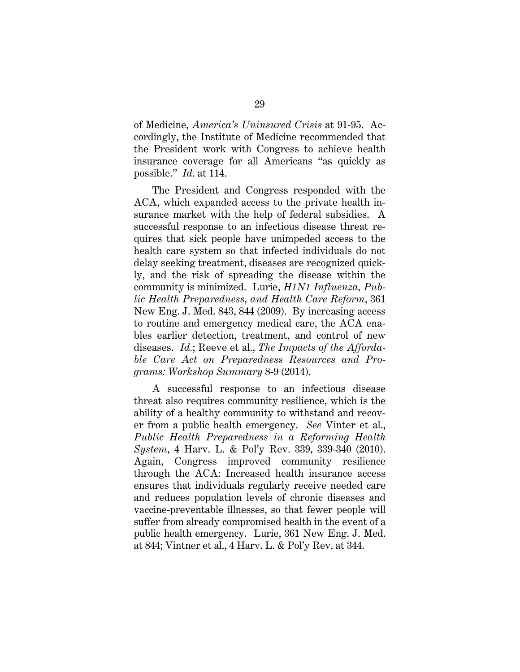of Medicine, *America's Uninsured Crisis* at 91-95. Accordingly, the Institute of Medicine recommended that the President work with Congress to achieve health insurance coverage for all Americans "as quickly as possible." *Id*. at 114.

The President and Congress responded with the ACA, which expanded access to the private health insurance market with the help of federal subsidies. A successful response to an infectious disease threat requires that sick people have unimpeded access to the health care system so that infected individuals do not delay seeking treatment, diseases are recognized quickly, and the risk of spreading the disease within the community is minimized. Lurie, *H1N1 Influenza, Public Health Preparedness, and Health Care Reform*, 361 New Eng. J. Med. 843, 844 (2009). By increasing access to routine and emergency medical care, the ACA enables earlier detection, treatment, and control of new diseases. *Id.*; Reeve et al., *The Impacts of the Affordable Care Act on Preparedness Resources and Programs: Workshop Summary* 8-9 (2014).

A successful response to an infectious disease threat also requires community resilience, which is the ability of a healthy community to withstand and recover from a public health emergency. *See* Vinter et al., *Public Health Preparedness in a Reforming Health System*, 4 Harv. L. & Pol'y Rev. 339, 339-340 (2010). Again, Congress improved community resilience through the ACA: Increased health insurance access ensures that individuals regularly receive needed care and reduces population levels of chronic diseases and vaccine-preventable illnesses, so that fewer people will suffer from already compromised health in the event of a public health emergency. Lurie, 361 New Eng. J. Med. at 844; Vintner et al., 4 Harv. L. & Pol'y Rev. at 344.